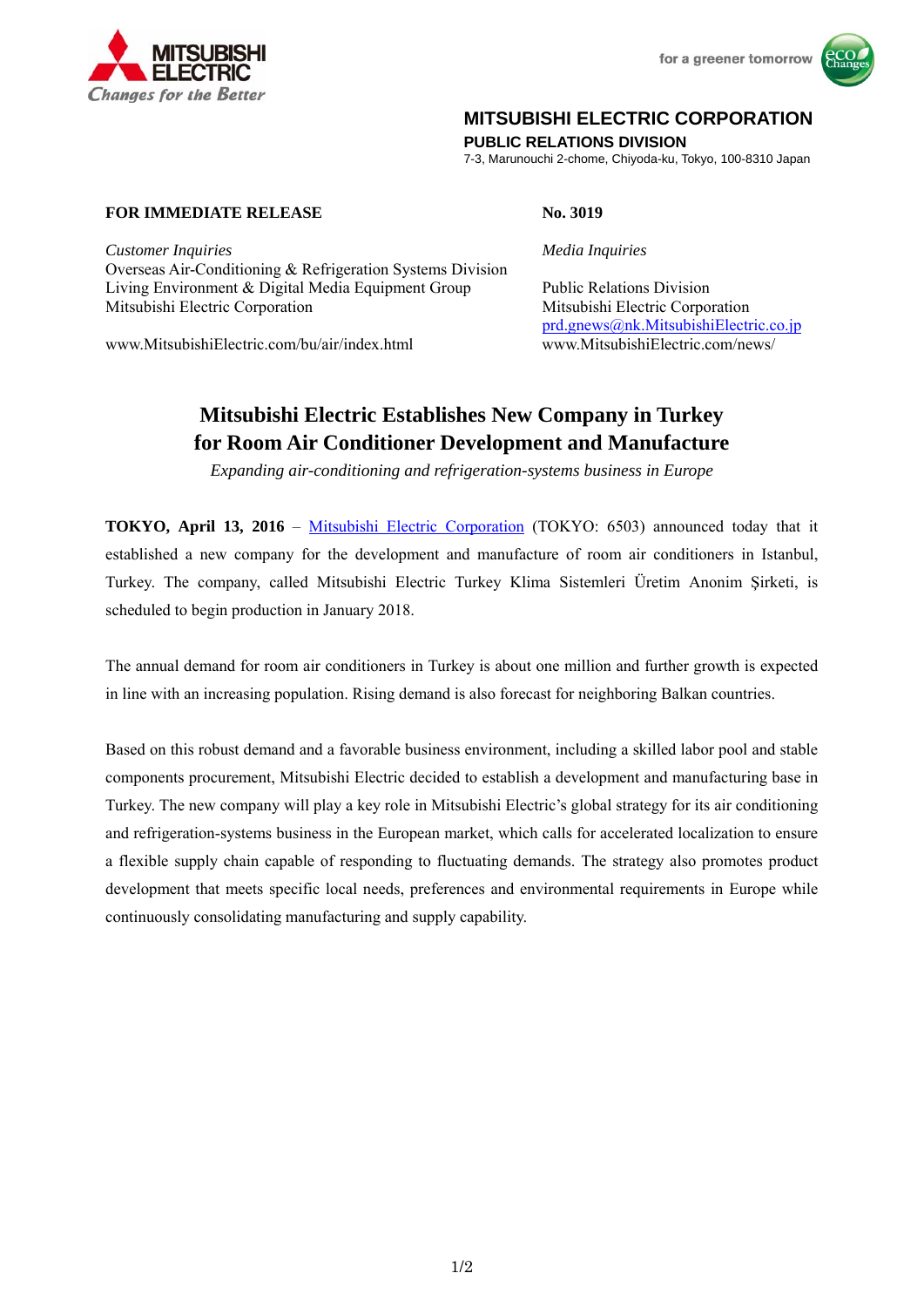



## **MITSUBISHI ELECTRIC CORPORATION**

**PUBLIC RELATIONS DIVISION** 

7-3, Marunouchi 2-chome, Chiyoda-ku, Tokyo, 100-8310 Japan

## **FOR IMMEDIATE RELEASE No. 3019**

*Customer Inquiries Media Inquiries* Overseas Air-Conditioning & Refrigeration Systems Division Living Environment & Digital Media Equipment Group Public Relations Division Mitsubishi Electric Corporation Mitsubishi Electric Corporation

www.MitsubishiElectric.com/bu/air/index.html

prd.gnews@nk.MitsubishiElectric.co.jp<br>www.MitsubishiElectric.com/news/

# **Mitsubishi Electric Establishes New Company in Turkey for Room Air Conditioner Development and Manufacture**

*Expanding air-conditioning and refrigeration-systems business in Europe*

**TOKYO, April 13, 2016** – Mitsubishi Electric Corporation (TOKYO: 6503) announced today that it established a new company for the development and manufacture of room air conditioners in Istanbul, Turkey. The company, called Mitsubishi Electric Turkey Klima Sistemleri Üretim Anonim Şirketi, is scheduled to begin production in January 2018.

The annual demand for room air conditioners in Turkey is about one million and further growth is expected in line with an increasing population. Rising demand is also forecast for neighboring Balkan countries.

Based on this robust demand and a favorable business environment, including a skilled labor pool and stable components procurement, Mitsubishi Electric decided to establish a development and manufacturing base in Turkey. The new company will play a key role in Mitsubishi Electric's global strategy for its air conditioning and refrigeration-systems business in the European market, which calls for accelerated localization to ensure a flexible supply chain capable of responding to fluctuating demands. The strategy also promotes product development that meets specific local needs, preferences and environmental requirements in Europe while continuously consolidating manufacturing and supply capability.